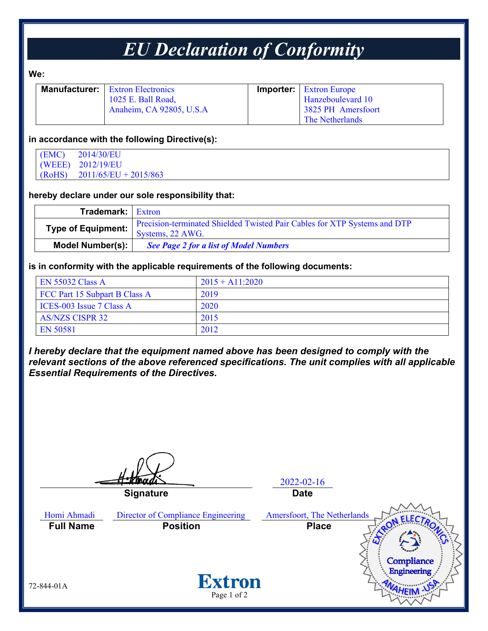## *EU Declaration of Conformity*

**We:**

| <b>Manufacturer:</b>   Extron Electronics | <b>Importer:</b> Extron Europe |
|-------------------------------------------|--------------------------------|
| 1025 E. Ball Road,                        | Hanzeboulevard 10              |
| Anaheim, CA 92805, U.S.A                  | 3825 PH Amersfoort             |
|                                           | The Netherlands                |

#### **in accordance with the following Directive(s):**

| (EMC)  | 2014/30/EU              |
|--------|-------------------------|
|        | (WEEE) 2012/19/EU       |
| (RoHS) | $2011/65/EU + 2015/863$ |

#### **hereby declare under our sole responsibility that:**

| <b>Trademark:</b> Extron |                                                                                                                           |
|--------------------------|---------------------------------------------------------------------------------------------------------------------------|
|                          | Precision-terminated Shielded Twisted Pair Cables for XTP Systems and DTP<br>Type of Equipment:   TICLISION-TOLINING SUB- |
| Model Number(s):         | <b>See Page 2 for a list of Model Numbers</b>                                                                             |

#### **is in conformity with the applicable requirements of the following documents:**

| <b>EN 55032 Class A</b>       | $2015 + A11:2020$ |
|-------------------------------|-------------------|
| FCC Part 15 Subpart B Class A | 2019              |
| ICES-003 Issue 7 Class A      | 2020              |
| <b>AS/NZS CISPR 32</b>        | 2015              |
| EN 50581                      | 2012              |

*I hereby declare that the equipment named above has been designed to comply with the relevant sections of the above referenced specifications. The unit complies with all applicable Essential Requirements of the Directives.*

2022-02-16 **Signature Date** Homi Ahmadi Director of Compliance Engineering Amersfoort, The Netherlands **Full Name Position Place**Compliance Engineering **Extron** 72-844-01A Page 1 of 2